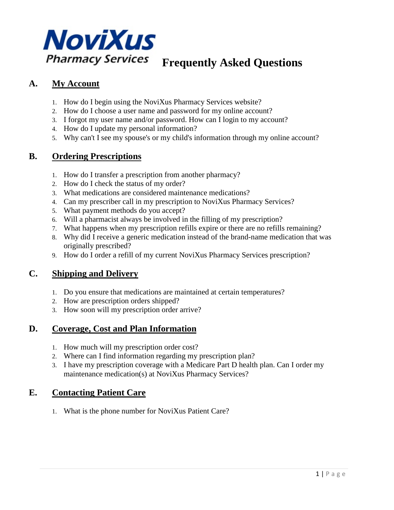

# **Frequently Asked Questions**

## **A. My Account**

- 1. [How do I begin using the NoviXus Pharmacy Services website?](https://novixus.com/FAQ#1)
- 2. [How do I choose a user name and password for my online account?](https://novixus.com/FAQ#2)
- 3. [I forgot my user name and/or password. How can I login to my account?](https://novixus.com/FAQ#3)
- 4. [How do I update my personal information?](https://novixus.com/FAQ#4)
- 5. [Why can't I see my spouse's or my child's information through my online account?](https://novixus.com/FAQ#26)

## **B. Ordering Prescriptions**

- 1. [How do I transfer a prescription from another pharmacy?](https://novixus.com/FAQ#5)
- 2. [How do I check the status of my order?](https://novixus.com/FAQ#7)
- 3. [What medications are considered maintenance medications?](https://novixus.com/FAQ#9)
- 4. [Can my prescriber call in my prescription to NoviXus Pharmacy](https://novixus.com/FAQ#17) Services?
- 5. [What payment methods do you accept?](https://novixus.com/FAQ#20)
- 6. [Will a pharmacist always be involved in the filling of my prescription?](https://novixus.com/FAQ#21)
- 7. [What happens when my prescription refills expire or there are no refills remaining?](https://novixus.com/FAQ#22)
- 8. [Why did I receive a generic medication instead of the brand-name medication that was](https://novixus.com/FAQ#23)  [originally prescribed?](https://novixus.com/FAQ#23)
- 9. [How do I order a refill of my current NoviXus Pharmacy Services prescription?](https://novixus.com/FAQ#24)

## **C. Shipping and Delivery**

- 1. [Do you ensure that medications are maintained at certain temperatures?](https://novixus.com/FAQ#10)
- 2. [How are prescription orders shipped?](https://novixus.com/FAQ#18)
- 3. [How soon will my prescription order arrive?](https://novixus.com/FAQ#19)

## **D. Coverage, Cost and Plan Information**

- 1. [How much will my prescription order cost?](https://novixus.com/FAQ#11)
- 2. [Where can I find information regarding my prescription plan?](https://novixus.com/FAQ#12)
- 3. I have my prescription coverage with a [Medicare Part D health plan. Can I order my](https://novixus.com/FAQ#13)  [maintenance medication\(s\) at NoviXus Pharmacy Services?](https://novixus.com/FAQ#13)

## **E. Contacting Patient Care**

1. [What is the phone number for NoviXus Patient Care?](https://novixus.com/FAQ#14)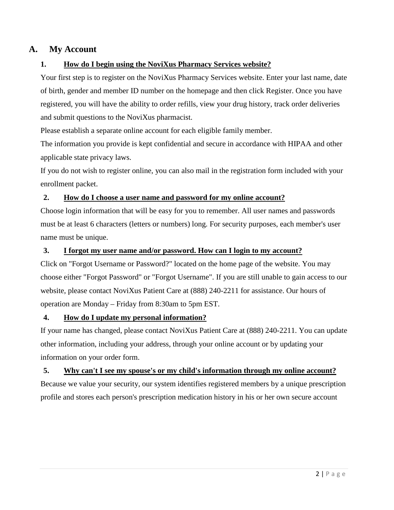## **A. My Account**

#### **1. How do I begin using the NoviXus Pharmacy Services website?**

Your first step is to register on the NoviXus Pharmacy Services website. Enter your last name, date of birth, gender and member ID number on the homepage and then click Register. Once you have registered, you will have the ability to order refills, view your drug history, track order deliveries and submit questions to the NoviXus pharmacist.

Please establish a separate online account for each eligible family member.

The information you provide is kept confidential and secure in accordance with HIPAA and other applicable state privacy laws.

If you do not wish to register online, you can also mail in the registration form included with your enrollment packet.

#### **2. How do I choose a user name and password for my online account?**

Choose login information that will be easy for you to remember. All user names and passwords must be at least 6 characters (letters or numbers) long. For security purposes, each member's user name must be unique.

#### **3. I forgot my user name and/or password. How can I login to my account?**

Click on "Forgot Username or Password?" located on the home page of the website. You may choose either "Forgot Password" or "Forgot Username". If you are still unable to gain access to our website, please contact NoviXus Patient Care at (888) 240-2211 for assistance. Our hours of operation are Monday – Friday from 8:30am to 5pm EST.

#### **4. How do I update my personal information?**

If your name has changed, please contact NoviXus Patient Care at (888) 240-2211. You can update other information, including your address, through your online account or by updating your information on your order form.

#### **5. Why can't I see my spouse's or my child's information through my online account?**

Because we value your security, our system identifies registered members by a unique prescription profile and stores each person's prescription medication history in his or her own secure account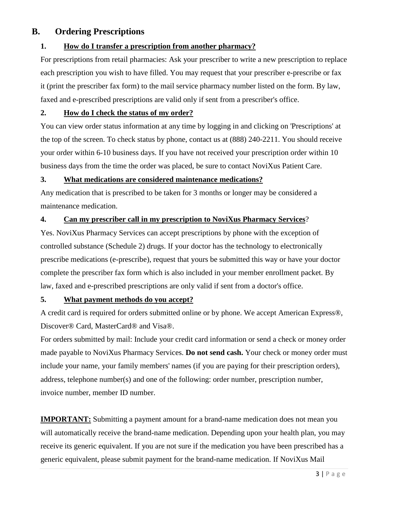## **B. Ordering Prescriptions**

#### **1. How do I transfer a prescription from another pharmacy?**

For prescriptions from retail pharmacies: Ask your prescriber to write a new prescription to replace each prescription you wish to have filled. You may request that your prescriber e-prescribe or fax it (print the prescriber fax form) to the mail service pharmacy number listed on the form. By law, faxed and e-prescribed prescriptions are valid only if sent from a prescriber's office.

#### **2. How do I check the status of my order?**

You can view order status information at any time by logging in and clicking on 'Prescriptions' at the top of the screen. To check status by phone, contact us at (888) 240-2211. You should receive your order within 6-10 business days. If you have not received your prescription order within 10 business days from the time the order was placed, be sure to contact NoviXus Patient Care.

#### **3. What medications are considered maintenance medications?**

Any medication that is prescribed to be taken for 3 months or longer may be considered a maintenance medication.

#### **4. Can my prescriber call in my prescription to NoviXus Pharmacy Services**?

Yes. NoviXus Pharmacy Services can accept prescriptions by phone with the exception of controlled substance (Schedule 2) drugs. If your doctor has the technology to electronically prescribe medications (e-prescribe), request that yours be submitted this way or have your doctor complete the prescriber fax form which is also included in your member enrollment packet. By law, faxed and e-prescribed prescriptions are only valid if sent from a doctor's office.

#### **5. What payment methods do you accept?**

A credit card is required for orders submitted online or by phone. We accept American Express®, Discover® Card, MasterCard® and Visa®.

For orders submitted by mail: Include your credit card information or send a check or money order made payable to NoviXus Pharmacy Services. **Do not send cash.** Your check or money order must include your name, your family members' names (if you are paying for their prescription orders), address, telephone number(s) and one of the following: order number, prescription number, invoice number, member ID number.

**IMPORTANT:** Submitting a payment amount for a brand-name medication does not mean you will automatically receive the brand-name medication. Depending upon your health plan, you may receive its generic equivalent. If you are not sure if the medication you have been prescribed has a generic equivalent, please submit payment for the brand-name medication. If NoviXus Mail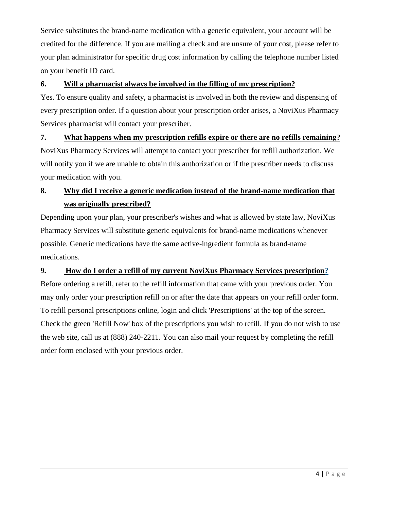Service substitutes the brand-name medication with a generic equivalent, your account will be credited for the difference. If you are mailing a check and are unsure of your cost, please refer to your plan administrator for specific drug cost information by calling the telephone number listed on your benefit ID card.

#### **6. Will a pharmacist always be involved in the filling of my prescription?**

Yes. To ensure quality and safety, a pharmacist is involved in both the review and dispensing of every prescription order. If a question about your prescription order arises, a NoviXus Pharmacy Services pharmacist will contact your prescriber.

### **7. What happens when my prescription refills expire or there are no refills remaining?**

NoviXus Pharmacy Services will attempt to contact your prescriber for refill authorization. We will notify you if we are unable to obtain this authorization or if the prescriber needs to discuss your medication with you.

## **8. Why did I receive a generic medication instead of the brand-name medication that was originally prescribed?**

Depending upon your plan, your prescriber's wishes and what is allowed by state law, NoviXus Pharmacy Services will substitute generic equivalents for brand-name medications whenever possible. Generic medications have the same active-ingredient formula as brand-name medications.

### **9. How do I order a refill of my current NoviXus Pharmacy Services prescription?**

Before ordering a refill, refer to the refill information that came with your previous order. You may only order your prescription refill on or after the date that appears on your refill order form. To refill personal prescriptions online, login and click 'Prescriptions' at the top of the screen. Check the green 'Refill Now' box of the prescriptions you wish to refill. If you do not wish to use the web site, call us at (888) 240-2211. You can also mail your request by completing the refill order form enclosed with your previous order.